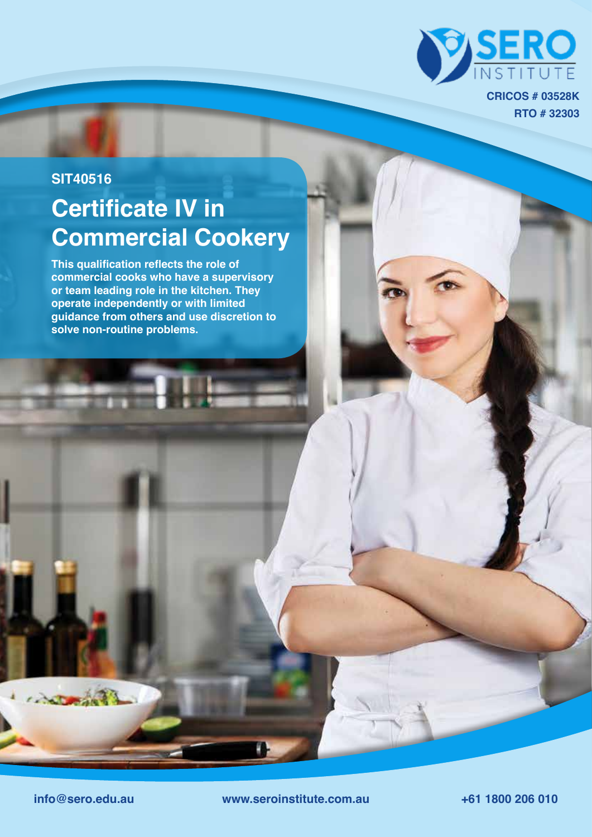

**RTO # 32303 CRICOS # 03528K**

## **Certificate IV in Commercial Cookery SIT40516**

**This qualification reflects the role of commercial cooks who have a supervisory or team leading role in the kitchen. They operate independently or with limited guidance from others and use discretion to solve non-routine problems.**

Actoration

**info@sero.edu.au www.seroinstitute.com.au +61 1800 206 010**